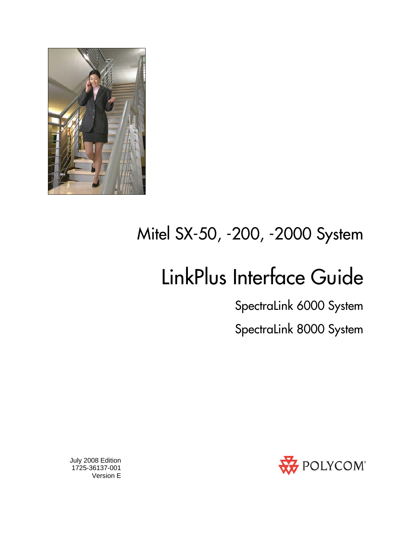

## Mitel SX-50, -200, -2000 System

# LinkPlus Interface Guide

SpectraLink 6000 System

SpectraLink 8000 System



 July 2008 Edition 1725-36137-001 Version E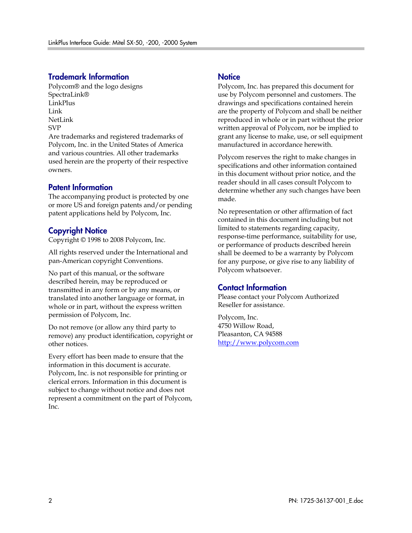#### Trademark Information

Polycom® and the logo designs SpectraLink® LinkPlus Link NetLink SVP

Are trademarks and registered trademarks of Polycom, Inc. in the United States of America and various countries. All other trademarks used herein are the property of their respective owners.

#### Patent Information

The accompanying product is protected by one or more US and foreign patents and/or pending patent applications held by Polycom, Inc.

#### Copyright Notice

Copyright © 1998 to 2008 Polycom, Inc.

All rights reserved under the International and pan-American copyright Conventions.

No part of this manual, or the software described herein, may be reproduced or transmitted in any form or by any means, or translated into another language or format, in whole or in part, without the express written permission of Polycom, Inc.

Do not remove (or allow any third party to remove) any product identification, copyright or other notices.

Every effort has been made to ensure that the information in this document is accurate. Polycom, Inc. is not responsible for printing or clerical errors. Information in this document is subject to change without notice and does not represent a commitment on the part of Polycom, Inc.

#### **Notice**

Polycom, Inc. has prepared this document for use by Polycom personnel and customers. The drawings and specifications contained herein are the property of Polycom and shall be neither reproduced in whole or in part without the prior written approval of Polycom, nor be implied to grant any license to make, use, or sell equipment manufactured in accordance herewith.

Polycom reserves the right to make changes in specifications and other information contained in this document without prior notice, and the reader should in all cases consult Polycom to determine whether any such changes have been made.

No representation or other affirmation of fact contained in this document including but not limited to statements regarding capacity, response-time performance, suitability for use, or performance of products described herein shall be deemed to be a warranty by Polycom for any purpose, or give rise to any liability of Polycom whatsoever.

#### Contact Information

Please contact your Polycom Authorized Reseller for assistance.

Polycom, Inc. 4750 Willow Road, Pleasanton, CA 94588 [http://www.polycom.com](http://www.polycom.com/)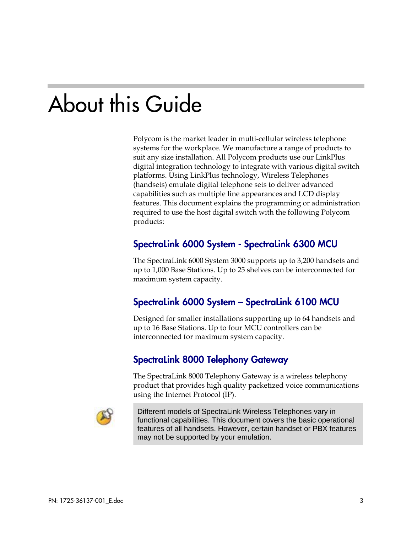# About this Guide

Polycom is the market leader in multi-cellular wireless telephone systems for the workplace. We manufacture a range of products to suit any size installation. All Polycom products use our LinkPlus digital integration technology to integrate with various digital switch platforms. Using LinkPlus technology, Wireless Telephones (handsets) emulate digital telephone sets to deliver advanced capabilities such as multiple line appearances and LCD display features. This document explains the programming or administration required to use the host digital switch with the following Polycom products:

#### SpectraLink 6000 System - SpectraLink 6300 MCU

The SpectraLink 6000 System 3000 supports up to 3,200 handsets and up to 1,000 Base Stations. Up to 25 shelves can be interconnected for maximum system capacity.

#### SpectraLink 6000 System – SpectraLink 6100 MCU

Designed for smaller installations supporting up to 64 handsets and up to 16 Base Stations. Up to four MCU controllers can be interconnected for maximum system capacity.

#### SpectraLink 8000 Telephony Gateway

The SpectraLink 8000 Telephony Gateway is a wireless telephony product that provides high quality packetized voice communications using the Internet Protocol (IP).



Different models of SpectraLink Wireless Telephones vary in functional capabilities. This document covers the basic operational features of all handsets. However, certain handset or PBX features may not be supported by your emulation.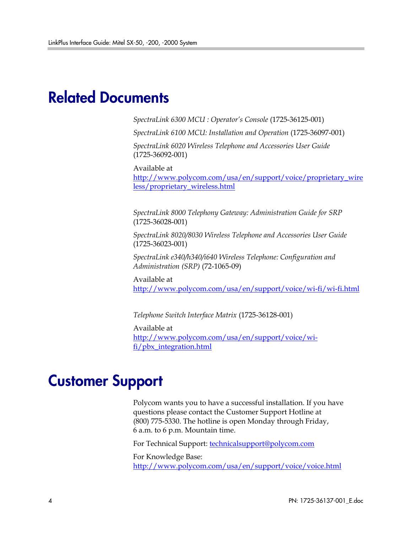## Related Documents

*SpectraLink 6300 MCU : Operator's Console* (1725-36125-001)

*SpectraLink 6100 MCU: Installation and Operation* (1725-36097-001)

*SpectraLink 6020 Wireless Telephone and Accessories User Guide*  (1725-36092-001)

Available at

[http://www.polycom.com/usa/en/support/voice/proprietary\\_wire](http://www.polycom.com/usa/en/support/voice/proprietary_wireless/proprietary_wireless.html) [less/proprietary\\_wireless.html](http://www.polycom.com/usa/en/support/voice/proprietary_wireless/proprietary_wireless.html)

*SpectraLink 8000 Telephony Gateway: Administration Guide for SRP*  (1725-36028-001)

*SpectraLink 8020/8030 Wireless Telephone and Accessories User Guide*  (1725-36023-001)

*SpectraLink e340/h340/i640 Wireless Telephone: Configuration and Administration (SRP)* (72-1065-09)

Available at <http://www.polycom.com/usa/en/support/voice/wi-fi/wi-fi.html>

*Telephone Switch Interface Matrix* (1725-36128-001)

Available at [http://www.polycom.com/usa/en/support/voice/wi](http://www.polycom.com/usa/en/support/voice/wi-fi/pbx_integration.html)[fi/pbx\\_integration.html](http://www.polycom.com/usa/en/support/voice/wi-fi/pbx_integration.html)

### Customer Support

Polycom wants you to have a successful installation. If you have questions please contact the Customer Support Hotline at (800) 775-5330. The hotline is open Monday through Friday, 6 a.m. to 6 p.m. Mountain time.

For Technical Support: [technicalsupport@polycom.com](mailto:technicalsupport@polycom.com)

For Knowledge Base: <http://www.polycom.com/usa/en/support/voice/voice.html>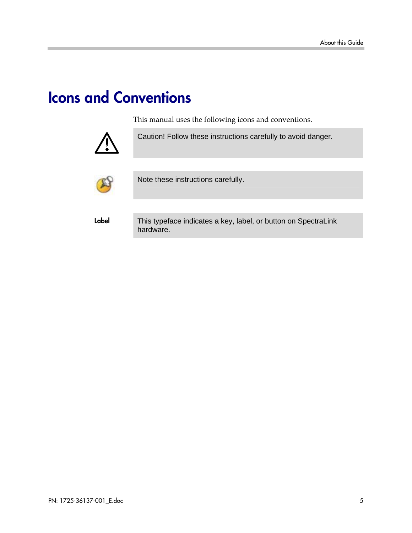## Icons and Conventions

This manual uses the following icons and conventions.



Caution! Follow these instructions carefully to avoid danger.



Note these instructions carefully.

Label This typeface indicates a key, label, or button on SpectraLink hardware.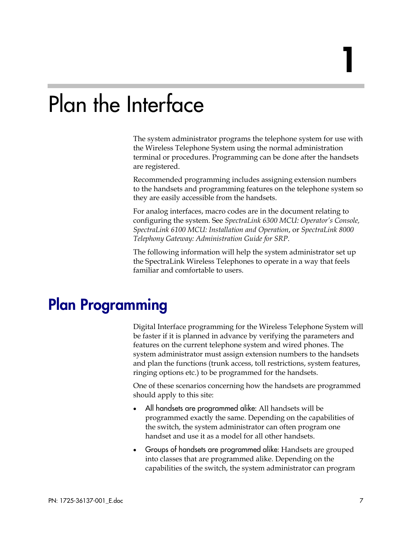# Plan the Interface

The system administrator programs the telephone system for use with the Wireless Telephone System using the normal administration terminal or procedures. Programming can be done after the handsets are registered.

Recommended programming includes assigning extension numbers to the handsets and programming features on the telephone system so they are easily accessible from the handsets.

For analog interfaces, macro codes are in the document relating to configuring the system. See *SpectraLink 6300 MCU: Operator's Console, SpectraLink 6100 MCU: Installation and Operation*, or *SpectraLink 8000 Telephony Gateway: Administration Guide for SRP*.

The following information will help the system administrator set up the SpectraLink Wireless Telephones to operate in a way that feels familiar and comfortable to users.

## Plan Programming

Digital Interface programming for the Wireless Telephone System will be faster if it is planned in advance by verifying the parameters and features on the current telephone system and wired phones. The system administrator must assign extension numbers to the handsets and plan the functions (trunk access, toll restrictions, system features, ringing options etc.) to be programmed for the handsets.

One of these scenarios concerning how the handsets are programmed should apply to this site:

- All handsets are programmed alike: All handsets will be programmed exactly the same. Depending on the capabilities of the switch, the system administrator can often program one handset and use it as a model for all other handsets.
- Groups of handsets are programmed alike: Handsets are grouped into classes that are programmed alike. Depending on the capabilities of the switch, the system administrator can program

1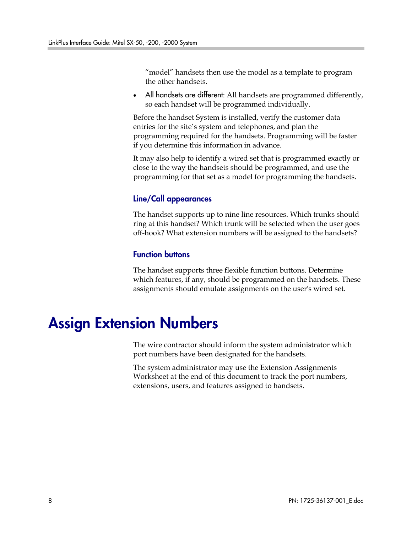"model" handsets then use the model as a template to program the other handsets.

All handsets are different: All handsets are programmed differently, so each handset will be programmed individually.

Before the handset System is installed, verify the customer data entries for the site's system and telephones, and plan the programming required for the handsets. Programming will be faster if you determine this information in advance.

It may also help to identify a wired set that is programmed exactly or close to the way the handsets should be programmed, and use the programming for that set as a model for programming the handsets.

#### Line/Call appearances

The handset supports up to nine line resources. Which trunks should ring at this handset? Which trunk will be selected when the user goes off-hook? What extension numbers will be assigned to the handsets?

#### Function buttons

The handset supports three flexible function buttons. Determine which features, if any, should be programmed on the handsets. These assignments should emulate assignments on the user's wired set.

## Assign Extension Numbers

The wire contractor should inform the system administrator which port numbers have been designated for the handsets.

The system administrator may use the Extension Assignments Worksheet at the end of this document to track the port numbers, extensions, users, and features assigned to handsets.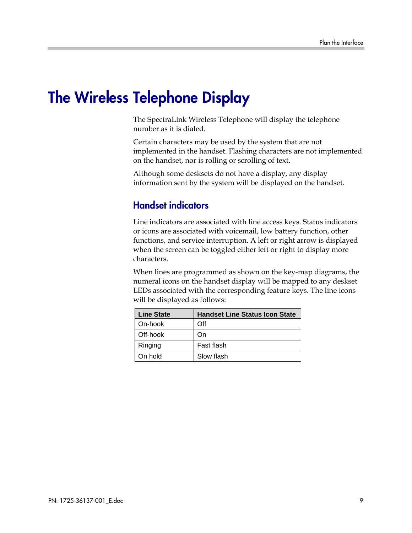## The Wireless Telephone Display

The SpectraLink Wireless Telephone will display the telephone number as it is dialed.

Certain characters may be used by the system that are not implemented in the handset. Flashing characters are not implemented on the handset, nor is rolling or scrolling of text.

Although some desksets do not have a display, any display information sent by the system will be displayed on the handset.

#### Handset indicators

Line indicators are associated with line access keys. Status indicators or icons are associated with voicemail, low battery function, other functions, and service interruption. A left or right arrow is displayed when the screen can be toggled either left or right to display more characters.

When lines are programmed as shown on the key-map diagrams, the numeral icons on the handset display will be mapped to any deskset LEDs associated with the corresponding feature keys. The line icons will be displayed as follows:

| <b>Line State</b> | <b>Handset Line Status Icon State</b> |
|-------------------|---------------------------------------|
| On-hook           | Off                                   |
| Off-hook          | On.                                   |
| Ringing           | Fast flash                            |
| On hold           | Slow flash                            |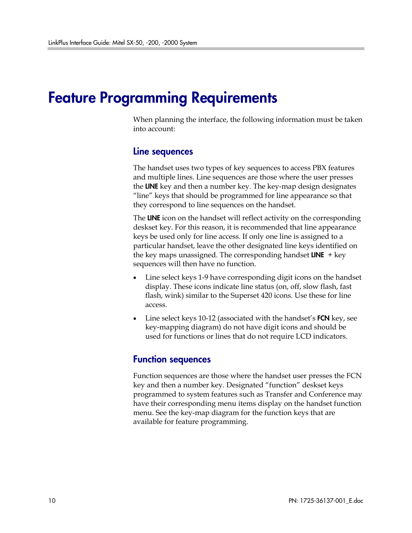## Feature Programming Requirements

When planning the interface, the following information must be taken into account:

#### Line sequences

The handset uses two types of key sequences to access PBX features and multiple lines. Line sequences are those where the user presses the LINE key and then a number key. The key-map design designates "line" keys that should be programmed for line appearance so that they correspond to line sequences on the handset.

The LINE icon on the handset will reflect activity on the corresponding deskset key. For this reason, it is recommended that line appearance keys be used only for line access. If only one line is assigned to a particular handset, leave the other designated line keys identified on the key maps unassigned. The corresponding handset  $LINE$  + key sequences will then have no function.

- Line select keys 1-9 have corresponding digit icons on the handset display. These icons indicate line status (on, off, slow flash, fast flash, wink) similar to the Superset 420 icons. Use these for line access.
- Line select keys 10-12 (associated with the handset's FCN key, see key-mapping diagram) do not have digit icons and should be used for functions or lines that do not require LCD indicators.

#### Function sequences

Function sequences are those where the handset user presses the FCN key and then a number key. Designated "function" deskset keys programmed to system features such as Transfer and Conference may have their corresponding menu items display on the handset function menu. See the key-map diagram for the function keys that are available for feature programming.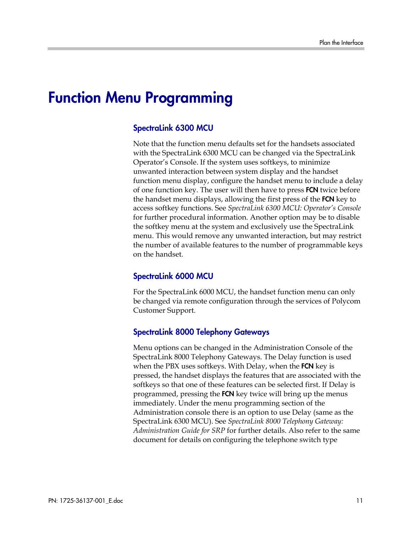## Function Menu Programming

#### SpectraLink 6300 MCU

Note that the function menu defaults set for the handsets associated with the SpectraLink 6300 MCU can be changed via the SpectraLink Operator's Console. If the system uses softkeys, to minimize unwanted interaction between system display and the handset function menu display, configure the handset menu to include a delay of one function key. The user will then have to press **FCN** twice before the handset menu displays, allowing the first press of the FCN key to access softkey functions. See *SpectraLink 6300 MCU: Operator's Console*  for further procedural information. Another option may be to disable the softkey menu at the system and exclusively use the SpectraLink menu. This would remove any unwanted interaction, but may restrict the number of available features to the number of programmable keys on the handset.

#### SpectraLink 6000 MCU

For the SpectraLink 6000 MCU, the handset function menu can only be changed via remote configuration through the services of Polycom Customer Support.

#### SpectraLink 8000 Telephony Gateways

Menu options can be changed in the Administration Console of the SpectraLink 8000 Telephony Gateways. The Delay function is used when the PBX uses softkeys. With Delay, when the FCN key is pressed, the handset displays the features that are associated with the softkeys so that one of these features can be selected first. If Delay is programmed, pressing the **FCN** key twice will bring up the menus immediately. Under the menu programming section of the Administration console there is an option to use Delay (same as the SpectraLink 6300 MCU). See *SpectraLink 8000 Telephony Gateway: Administration Guide for SRP* for further details. Also refer to the same document for details on configuring the telephone switch type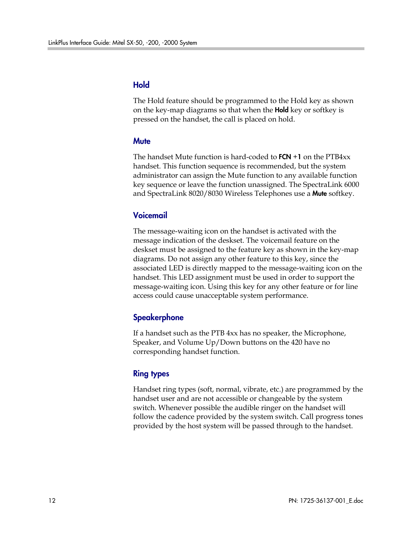#### Hold

The Hold feature should be programmed to the Hold key as shown on the key-map diagrams so that when the **Hold** key or softkey is pressed on the handset, the call is placed on hold.

#### **Mute**

The handset Mute function is hard-coded to  $FCN + 1$  on the  $PTB4xx$ handset. This function sequence is recommended, but the system administrator can assign the Mute function to any available function key sequence or leave the function unassigned. The SpectraLink 6000 and SpectraLink 8020/8030 Wireless Telephones use a **Mute** softkey.

#### Voicemail

The message-waiting icon on the handset is activated with the message indication of the deskset. The voicemail feature on the deskset must be assigned to the feature key as shown in the key-map diagrams. Do not assign any other feature to this key, since the associated LED is directly mapped to the message-waiting icon on the handset. This LED assignment must be used in order to support the message-waiting icon. Using this key for any other feature or for line access could cause unacceptable system performance.

#### **Speakerphone**

If a handset such as the PTB 4xx has no speaker, the Microphone, Speaker, and Volume Up/Down buttons on the 420 have no corresponding handset function.

#### Ring types

Handset ring types (soft, normal, vibrate, etc.) are programmed by the handset user and are not accessible or changeable by the system switch. Whenever possible the audible ringer on the handset will follow the cadence provided by the system switch. Call progress tones provided by the host system will be passed through to the handset.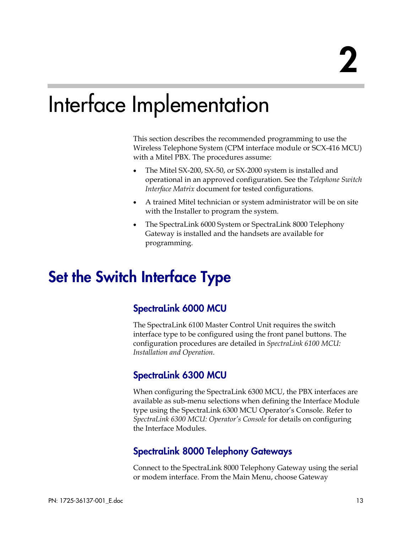## Interface Implementation

This section describes the recommended programming to use the Wireless Telephone System (CPM interface module or SCX-416 MCU) with a Mitel PBX. The procedures assume:

- The Mitel SX-200, SX-50, or SX-2000 system is installed and operational in an approved configuration. See the *Telephone Switch Interface Matrix* document for tested configurations.
- A trained Mitel technician or system administrator will be on site with the Installer to program the system.
- The SpectraLink 6000 System or SpectraLink 8000 Telephony Gateway is installed and the handsets are available for programming.

## Set the Switch Interface Type

#### SpectraLink 6000 MCU

The SpectraLink 6100 Master Control Unit requires the switch interface type to be configured using the front panel buttons. The configuration procedures are detailed in *SpectraLink 6100 MCU: Installation and Operation.*

#### SpectraLink 6300 MCU

When configuring the SpectraLink 6300 MCU, the PBX interfaces are available as sub-menu selections when defining the Interface Module type using the SpectraLink 6300 MCU Operator's Console. Refer to *SpectraLink 6300 MCU: Operator's Console* for details on configuring the Interface Modules.

#### SpectraLink 8000 Telephony Gateways

Connect to the SpectraLink 8000 Telephony Gateway using the serial or modem interface. From the Main Menu, choose Gateway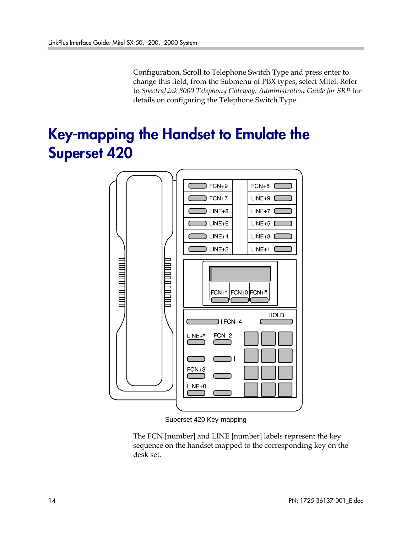Configuration. Scroll to Telephone Switch Type and press enter to change this field, from the Submenu of PBX types, select Mitel. Refer to *SpectraLink 8000 Telephony Gateway: Administration Guide for SRP* for details on configuring the Telephone Switch Type.

## Key-mapping the Handset to Emulate the Superset 420



Superset 420 Key-mapping

The FCN [number] and LINE [number] labels represent the key sequence on the handset mapped to the corresponding key on the desk set.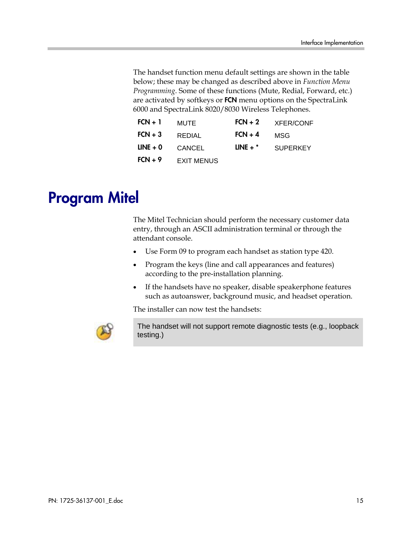The handset function menu default settings are shown in the table below; these may be changed as described above in *Function Menu Programming*. Some of these functions (Mute, Redial, Forward, etc.) are activated by softkeys or FCN menu options on the SpectraLink 6000 and SpectraLink 8020/8030 Wireless Telephones.

| $FCN + 1$  | MUTE              | $FCN + 2$  | <b>XFER/CONF</b> |  |
|------------|-------------------|------------|------------------|--|
| $FCN + 3$  | REDIAL            | $FCN + 4$  | MSG              |  |
| $LINE + 0$ | <b>CANCEL</b>     | LINE $+$ * | <b>SUPERKEY</b>  |  |
| $FCN + 9$  | <b>EXIT MENUS</b> |            |                  |  |

## Program Mitel

The Mitel Technician should perform the necessary customer data entry, through an ASCII administration terminal or through the attendant console.

- Use Form 09 to program each handset as station type 420.
- Program the keys (line and call appearances and features) according to the pre-installation planning.
- If the handsets have no speaker, disable speakerphone features such as autoanswer, background music, and headset operation.

The installer can now test the handsets:



The handset will not support remote diagnostic tests (e.g., loopback testing.)